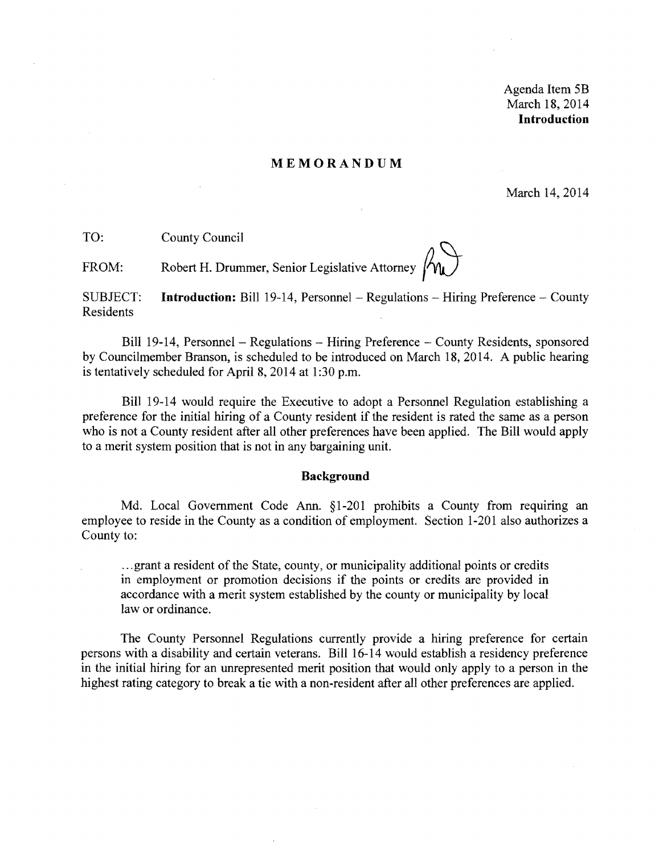Agenda Item 5B March 18,2014 **Introduction** 

#### **MEMORANDUM**

March 14,2014

TO: County Council

FROM: Robert H. Drummer, Senior Legislative Attorney  $\bigwedge_{\mathbf{I}}$ 

SUBJECT: **Introduction:** Bill 19-14, Personnel- Regulations - Hiring Preference - County Residents

Bill 19-14, Personnel – Regulations – Hiring Preference – County Residents, sponsored by Councilmember Branson, is scheduled to be introduced on March 18,2014. A public hearing is tentatively scheduled for April 8, 2014 at 1:30 p.m.

Bill 19-14 would require the Executive to adopt a Personnel Regulation establishing a preference for the initial hiring of a County resident if the resident is rated the same as a person who is not a County resident after all other preferences have been applied. The Bill would apply to a merit system position that is not in any bargaining unit.

#### **Background**

Md. Local Government Code Ann. §1-201 prohibits a County from requiring an employee to reside in the County as a condition of employment. Section 1-201 also authorizes a County to:

... grant a resident of the State, county, or municipality additional points or credits in employment or promotion decisions if the points or credits are provided in accordance with a merit system established by the county or municipality by local law or ordinance.

The County Personnel Regulations currently provide a hiring preference for certain persons with a disability and certain veterans. Bill 16-14 would establish a residency preference in the initial hiring for an unrepresented merit position that would only apply to a person in the highest rating category to break a tie with a non-resident after all other preferences are applied.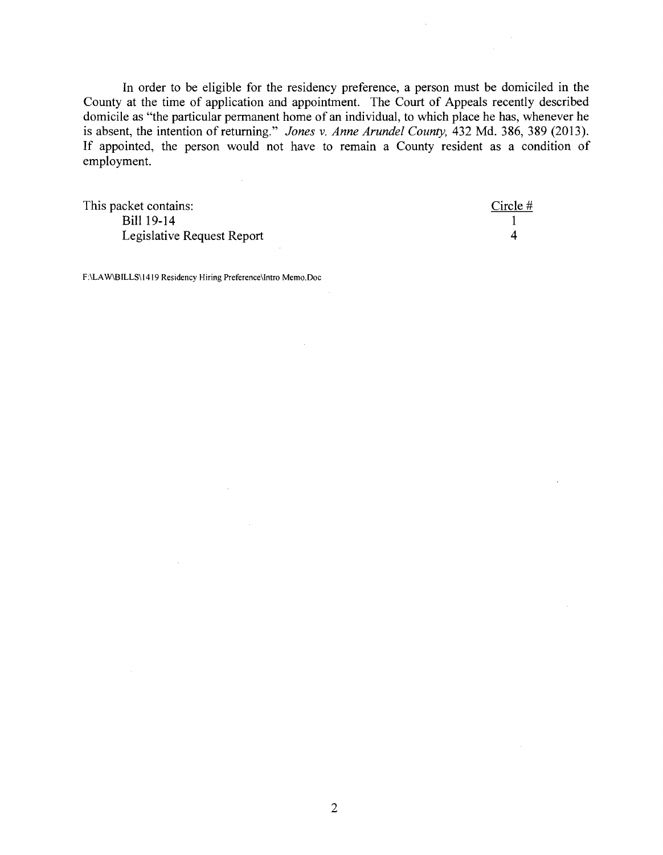In order to be eligible for the residency preference, a person must be domiciled in the County at the time of application and appointment. The Court of Appeals recently described domicile as "the particular permanent home of an individual, to which place he has, whenever he is absent, the intention of returning." *Jones* v. *Anne Arundel County,* 432 Md. 386, 389 (2013). If appointed, the person would not have to remain a County resident as a condition of employment.

This packet contains: Circle # Bill 19-14 1 Legislative Request Report 4

F:\LA W\B ILLS\ 1419 Residency Hiring Preference\Intro Memo.Doc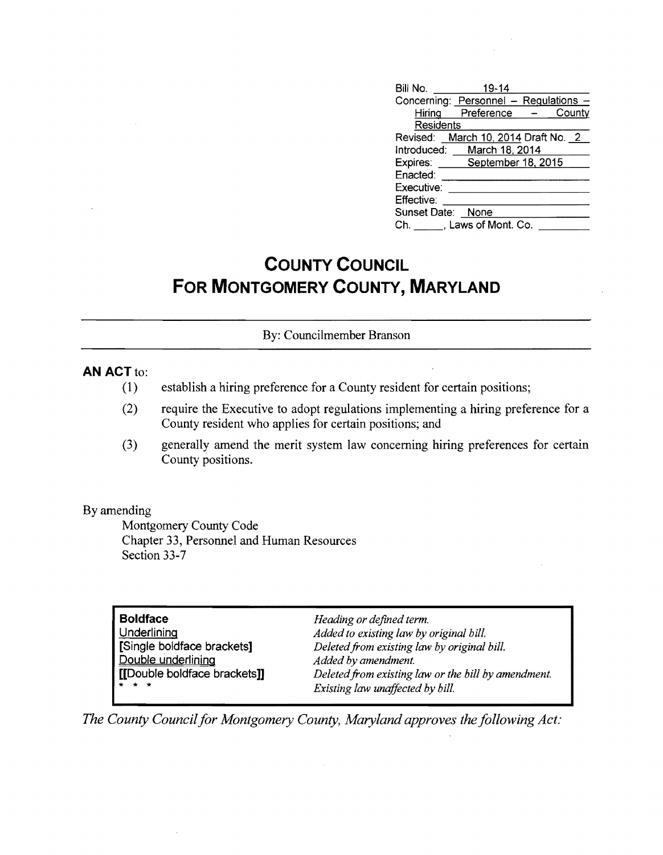| Bill No. 19-14                        |  |
|---------------------------------------|--|
| Concerning: Personnel - Regulations - |  |
| Hiring Preference - County            |  |
| Residents                             |  |
| Revised: March 10, 2014 Draft No. 2   |  |
| Introduced: March 18, 2014            |  |
| Expires: September 18, 2015           |  |
| Enacted:                              |  |
| Executive:                            |  |
| Effective:                            |  |
| Sunset Date: None                     |  |
| Ch. J. Laws of Mont. Co.              |  |

# **COUNTY COUNCIL FOR MONTGOMERY COUNTY, MARYLAND**

### By: Councilmember Branson

# **AN ACT to:**

- (1) establish a hiring preference for a County resident for certain positions;
- (2) require the Executive to adopt regulations implementing a hiring preference for a County resident who applies for certain positions; and
- (3) generally amend the merit system law concerning hiring preferences for certain County positions.

#### By amending

Montgomery County Code Chapter 33, Personnel and Human Resources Section 33-7

| <b>Boldface</b>              | Heading or defined term.                            |
|------------------------------|-----------------------------------------------------|
| Underlining                  | Added to existing law by original bill.             |
| [Single boldface brackets]   | Deleted from existing law by original bill.         |
| Double underlining           | Added by amendment.                                 |
| [[Double boldface brackets]] | Deleted from existing law or the bill by amendment. |
| * * *                        | Existing law unaffected by bill.                    |

*The County Council for Montgomery County, Maryland approves the following Act:*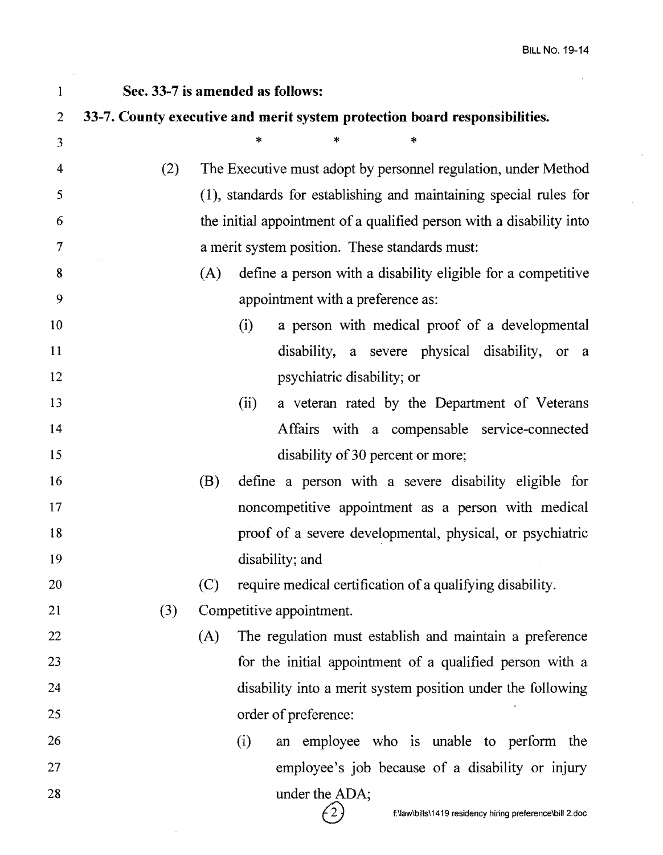| $\mathbf{1}$   | Sec. 33-7 is amended as follows: |                                                |                                                                                              |  |  |  |  |
|----------------|----------------------------------|------------------------------------------------|----------------------------------------------------------------------------------------------|--|--|--|--|
| $\overline{2}$ |                                  |                                                | 33-7. County executive and merit system protection board responsibilities.                   |  |  |  |  |
| 3              |                                  |                                                | $\ast$<br>*<br>*                                                                             |  |  |  |  |
| 4              | (2)                              |                                                | The Executive must adopt by personnel regulation, under Method                               |  |  |  |  |
| 5              |                                  |                                                | (1), standards for establishing and maintaining special rules for                            |  |  |  |  |
| 6              |                                  |                                                | the initial appointment of a qualified person with a disability into                         |  |  |  |  |
| $\tau$         |                                  | a merit system position. These standards must: |                                                                                              |  |  |  |  |
| 8              |                                  | (A)                                            | define a person with a disability eligible for a competitive                                 |  |  |  |  |
| 9              |                                  |                                                | appointment with a preference as:                                                            |  |  |  |  |
| 10             |                                  |                                                | a person with medical proof of a developmental<br>(i)                                        |  |  |  |  |
| 11             |                                  |                                                | disability, a severe physical disability, or a                                               |  |  |  |  |
| 12             |                                  |                                                | psychiatric disability; or                                                                   |  |  |  |  |
| 13             |                                  |                                                | a veteran rated by the Department of Veterans<br>(ii)                                        |  |  |  |  |
| 14             |                                  |                                                | Affairs with a compensable service-connected                                                 |  |  |  |  |
| 15             |                                  |                                                | disability of 30 percent or more;                                                            |  |  |  |  |
| 16             |                                  | (B)                                            | define a person with a severe disability eligible for                                        |  |  |  |  |
| 17             |                                  |                                                | noncompetitive appointment as a person with medical                                          |  |  |  |  |
| 18             |                                  |                                                | proof of a severe developmental, physical, or psychiatric                                    |  |  |  |  |
| 19             |                                  |                                                | disability; and                                                                              |  |  |  |  |
| 20             |                                  | (C)                                            | require medical certification of a qualifying disability.                                    |  |  |  |  |
| 21             | (3)                              |                                                | Competitive appointment.                                                                     |  |  |  |  |
| 22             |                                  | (A)                                            | The regulation must establish and maintain a preference                                      |  |  |  |  |
| 23             |                                  |                                                | for the initial appointment of a qualified person with a                                     |  |  |  |  |
| 24             |                                  |                                                | disability into a merit system position under the following                                  |  |  |  |  |
| 25             |                                  |                                                | order of preference:                                                                         |  |  |  |  |
| 26             |                                  |                                                | an employee who is unable to perform the<br>(i)                                              |  |  |  |  |
| 27             |                                  |                                                | employee's job because of a disability or injury                                             |  |  |  |  |
| 28             |                                  |                                                | under the ADA;<br>$\binom{2}{3}$<br>f:\law\bills\1419 residency hiring preference\bill 2.doc |  |  |  |  |

 $\hat{\mathcal{A}}$ 

 $\sim$   $\sim$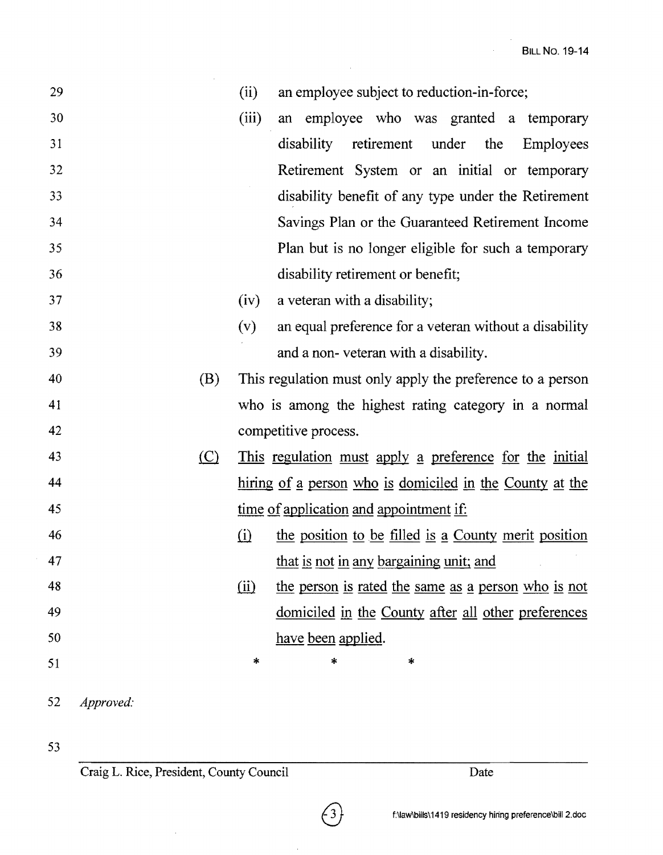| 29 |           |                               | (ii)                       | an employee subject to reduction-in-force;                 |
|----|-----------|-------------------------------|----------------------------|------------------------------------------------------------|
| 30 |           |                               | (iii)                      | an employee who was granted a temporary                    |
| 31 |           |                               |                            | disability retirement under the Employees                  |
| 32 |           |                               |                            | Retirement System or an initial or temporary               |
| 33 |           |                               |                            | disability benefit of any type under the Retirement        |
| 34 |           |                               |                            | Savings Plan or the Guaranteed Retirement Income           |
| 35 |           |                               |                            | Plan but is no longer eligible for such a temporary        |
| 36 |           |                               |                            | disability retirement or benefit;                          |
| 37 |           |                               | (iv)                       | a veteran with a disability;                               |
| 38 |           |                               | (v)                        | an equal preference for a veteran without a disability     |
| 39 |           |                               |                            | and a non-veteran with a disability.                       |
| 40 |           | (B)                           |                            | This regulation must only apply the preference to a person |
| 41 |           |                               |                            | who is among the highest rating category in a normal       |
| 42 |           |                               |                            | competitive process.                                       |
| 43 |           | $\left( \underline{C}\right)$ |                            | This regulation must apply a preference for the initial    |
| 44 |           |                               |                            | hiring of a person who is domiciled in the County at the   |
| 45 |           |                               |                            | time of application and appointment if:                    |
| 46 |           |                               | (i)                        | the position to be filled is a County merit position       |
| 47 |           |                               |                            | that is not in any bargaining unit; and                    |
| 48 |           |                               | $\overline{(\mathbf{ii})}$ | the person is rated the same as a person who is not        |
| 49 |           |                               |                            | domiciled in the County after all other preferences        |
| 50 |           |                               |                            | have been applied.                                         |
| 51 |           |                               | $\ast$                     | *<br>*                                                     |
| 52 | Approved: |                               |                            |                                                            |

 $(3)$ 

 $\bar{\mathcal{S}}$ 

53

Craig L. Rice, President, County Council Date

 $\hat{\boldsymbol{\beta}}$